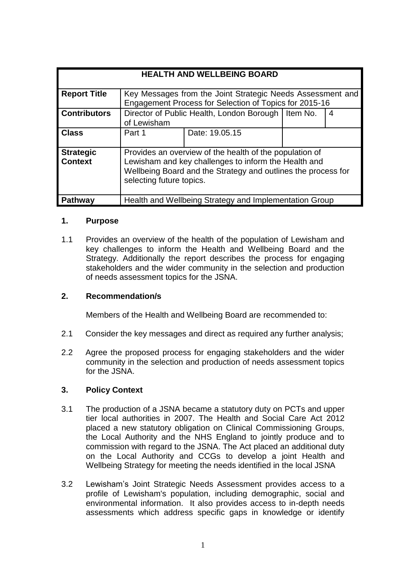| <b>HEALTH AND WELLBEING BOARD</b>  |                                                                                                                                                                                                              |                |  |   |
|------------------------------------|--------------------------------------------------------------------------------------------------------------------------------------------------------------------------------------------------------------|----------------|--|---|
|                                    |                                                                                                                                                                                                              |                |  |   |
| <b>Report Title</b>                | Key Messages from the Joint Strategic Needs Assessment and<br>Engagement Process for Selection of Topics for 2015-16                                                                                         |                |  |   |
| <b>Contributors</b>                | Director of Public Health, London Borough   Item No.<br>of Lewisham                                                                                                                                          |                |  | 4 |
| <b>Class</b>                       | Part 1                                                                                                                                                                                                       | Date: 19.05.15 |  |   |
| <b>Strategic</b><br><b>Context</b> | Provides an overview of the health of the population of<br>Lewisham and key challenges to inform the Health and<br>Wellbeing Board and the Strategy and outlines the process for<br>selecting future topics. |                |  |   |
| Pathway                            | Health and Wellbeing Strategy and Implementation Group                                                                                                                                                       |                |  |   |

#### **1. Purpose**

1.1 Provides an overview of the health of the population of Lewisham and key challenges to inform the Health and Wellbeing Board and the Strategy. Additionally the report describes the process for engaging stakeholders and the wider community in the selection and production of needs assessment topics for the JSNA.

### **2. Recommendation/s**

Members of the Health and Wellbeing Board are recommended to:

- 2.1 Consider the key messages and direct as required any further analysis:
- 2.2 Agree the proposed process for engaging stakeholders and the wider community in the selection and production of needs assessment topics for the JSNA.

### **3. Policy Context**

- 3.1 The production of a JSNA became a statutory duty on PCTs and upper tier local authorities in 2007. The Health and Social Care Act 2012 placed a new statutory obligation on Clinical Commissioning Groups, the Local Authority and the NHS England to jointly produce and to commission with regard to the JSNA. The Act placed an additional duty on the Local Authority and CCGs to develop a joint Health and Wellbeing Strategy for meeting the needs identified in the local JSNA
- 3.2 Lewisham's Joint Strategic Needs Assessment provides access to a profile of Lewisham's population, including demographic, social and environmental information. It also provides access to in-depth needs assessments which address specific gaps in knowledge or identify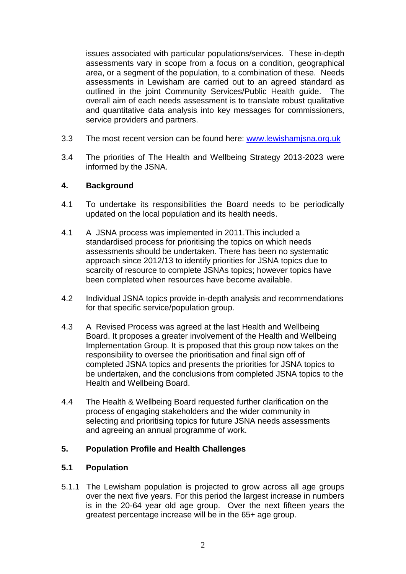issues associated with particular populations/services. These in-depth assessments vary in scope from a focus on a condition, geographical area, or a segment of the population, to a combination of these. Needs assessments in Lewisham are carried out to an agreed standard as outlined in the joint Community Services/Public Health guide. The overall aim of each needs assessment is to translate robust qualitative and quantitative data analysis into key messages for commissioners, service providers and partners.

- 3.3 The most recent version can be found here: [www.lewishamjsna.org.uk](http://www.lewishamjsna.org.uk/)
- 3.4 The priorities of The Health and Wellbeing Strategy 2013-2023 were informed by the JSNA.

### **4. Background**

- 4.1 To undertake its responsibilities the Board needs to be periodically updated on the local population and its health needs.
- 4.1 A JSNA process was implemented in 2011.This included a standardised process for prioritising the topics on which needs assessments should be undertaken. There has been no systematic approach since 2012/13 to identify priorities for JSNA topics due to scarcity of resource to complete JSNAs topics; however topics have been completed when resources have become available.
- 4.2 Individual JSNA topics provide in-depth analysis and recommendations for that specific service/population group.
- 4.3 A Revised Process was agreed at the last Health and Wellbeing Board. It proposes a greater involvement of the Health and Wellbeing Implementation Group. It is proposed that this group now takes on the responsibility to oversee the prioritisation and final sign off of completed JSNA topics and presents the priorities for JSNA topics to be undertaken, and the conclusions from completed JSNA topics to the Health and Wellbeing Board.
- 4.4 The Health & Wellbeing Board requested further clarification on the process of engaging stakeholders and the wider community in selecting and prioritising topics for future JSNA needs assessments and agreeing an annual programme of work.

### **5. Population Profile and Health Challenges**

#### **5.1 Population**

5.1.1 The Lewisham population is projected to grow across all age groups over the next five years. For this period the largest increase in numbers is in the 20-64 year old age group. Over the next fifteen years the greatest percentage increase will be in the 65+ age group.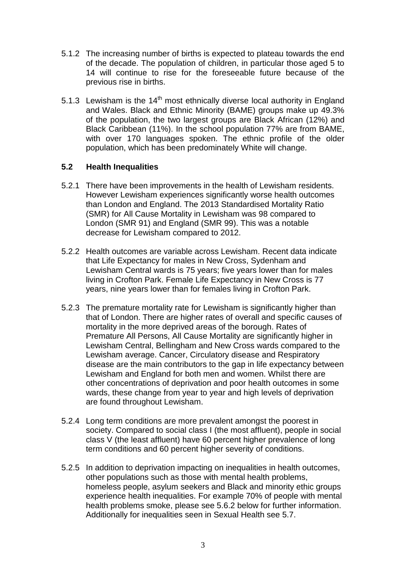- 5.1.2 The increasing number of births is expected to plateau towards the end of the decade. The population of children, in particular those aged 5 to 14 will continue to rise for the foreseeable future because of the previous rise in births.
- 5.1.3 Lewisham is the  $14<sup>th</sup>$  most ethnically diverse local authority in England and Wales. Black and Ethnic Minority (BAME) groups make up 49.3% of the population, the two largest groups are Black African (12%) and Black Caribbean (11%). In the school population 77% are from BAME, with over 170 languages spoken. The ethnic profile of the older population, which has been predominately White will change.

### **5.2 Health Inequalities**

- 5.2.1 There have been improvements in the health of Lewisham residents. However Lewisham experiences significantly worse health outcomes than London and England. The 2013 Standardised Mortality Ratio (SMR) for All Cause Mortality in Lewisham was 98 compared to London (SMR 91) and England (SMR 99). This was a notable decrease for Lewisham compared to 2012.
- 5.2.2 Health outcomes are variable across Lewisham. Recent data indicate that Life Expectancy for males in New Cross, Sydenham and Lewisham Central wards is 75 years; five years lower than for males living in Crofton Park. Female Life Expectancy in New Cross is 77 years, nine years lower than for females living in Crofton Park.
- 5.2.3 The premature mortality rate for Lewisham is significantly higher than that of London. There are higher rates of overall and specific causes of mortality in the more deprived areas of the borough. Rates of Premature All Persons, All Cause Mortality are significantly higher in Lewisham Central, Bellingham and New Cross wards compared to the Lewisham average. Cancer, Circulatory disease and Respiratory disease are the main contributors to the gap in life expectancy between Lewisham and England for both men and women. Whilst there are other concentrations of deprivation and poor health outcomes in some wards, these change from year to year and high levels of deprivation are found throughout Lewisham.
- 5.2.4 Long term conditions are more prevalent amongst the poorest in society. Compared to social class I (the most affluent), people in social class V (the least affluent) have 60 percent higher prevalence of long term conditions and 60 percent higher severity of conditions.
- 5.2.5 In addition to deprivation impacting on inequalities in health outcomes, other populations such as those with mental health problems, homeless people, asylum seekers and Black and minority ethic groups experience health inequalities. For example 70% of people with mental health problems smoke, please see 5.6.2 below for further information. Additionally for inequalities seen in Sexual Health see 5.7.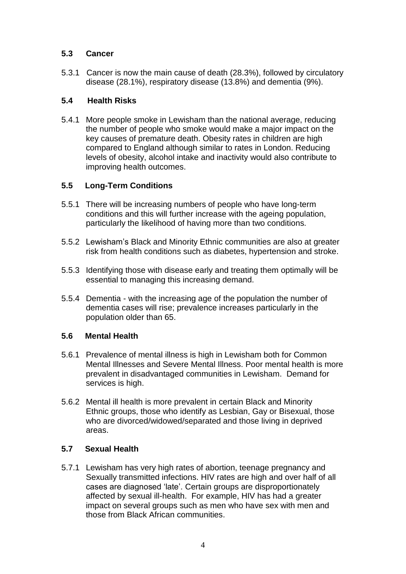### **5.3 Cancer**

5.3.1 Cancer is now the main cause of death (28.3%), followed by circulatory disease (28.1%), respiratory disease (13.8%) and dementia (9%).

## **5.4 Health Risks**

5.4.1 More people smoke in Lewisham than the national average, reducing the number of people who smoke would make a major impact on the key causes of premature death. Obesity rates in children are high compared to England although similar to rates in London. Reducing levels of obesity, alcohol intake and inactivity would also contribute to improving health outcomes.

# **5.5 Long-Term Conditions**

- 5.5.1 There will be increasing numbers of people who have long-term conditions and this will further increase with the ageing population, particularly the likelihood of having more than two conditions.
- 5.5.2 Lewisham's Black and Minority Ethnic communities are also at greater risk from health conditions such as diabetes, hypertension and stroke.
- 5.5.3 Identifying those with disease early and treating them optimally will be essential to managing this increasing demand.
- 5.5.4 Dementia with the increasing age of the population the number of dementia cases will rise; prevalence increases particularly in the population older than 65.

### **5.6 Mental Health**

- 5.6.1 Prevalence of mental illness is high in Lewisham both for Common Mental Illnesses and Severe Mental Illness. Poor mental health is more prevalent in disadvantaged communities in Lewisham. Demand for services is high.
- 5.6.2 Mental ill health is more prevalent in certain Black and Minority Ethnic groups, those who identify as Lesbian, Gay or Bisexual, those who are divorced/widowed/separated and those living in deprived areas.

### **5.7 Sexual Health**

5.7.1 Lewisham has very high rates of abortion, teenage pregnancy and Sexually transmitted infections. HIV rates are high and over half of all cases are diagnosed 'late'. Certain groups are disproportionately affected by sexual ill-health. For example, HIV has had a greater impact on several groups such as men who have sex with men and those from Black African communities.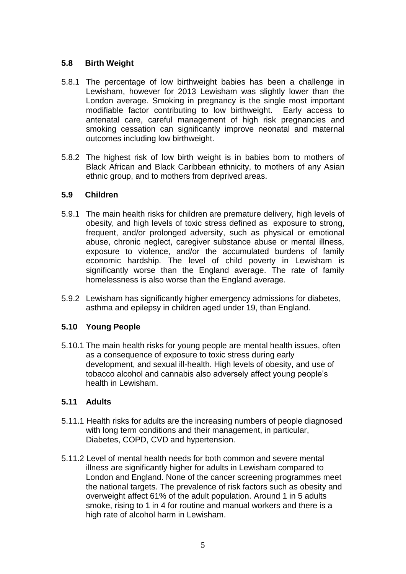### **5.8 Birth Weight**

- 5.8.1 The percentage of low birthweight babies has been a challenge in Lewisham, however for 2013 Lewisham was slightly lower than the London average. Smoking in pregnancy is the single most important modifiable factor contributing to low birthweight. Early access to antenatal care, careful management of high risk pregnancies and smoking cessation can significantly improve neonatal and maternal outcomes including low birthweight.
- 5.8.2 The highest risk of low birth weight is in babies born to mothers of Black African and Black Caribbean ethnicity, to mothers of any Asian ethnic group, and to mothers from deprived areas.

### **5.9 Children**

- 5.9.1 The main health risks for children are premature delivery, high levels of obesity, and high levels of toxic stress defined as exposure to strong, frequent, and/or prolonged adversity, such as physical or emotional abuse, chronic neglect, caregiver substance abuse or mental illness, exposure to violence, and/or the accumulated burdens of family economic hardship. The level of child poverty in Lewisham is significantly worse than the England average. The rate of family homelessness is also worse than the England average.
- 5.9.2 Lewisham has significantly higher emergency admissions for diabetes, asthma and epilepsy in children aged under 19, than England.

### **5.10 Young People**

5.10.1 The main health risks for young people are mental health issues, often as a consequence of exposure to toxic stress during early development, and sexual ill-health. High levels of obesity, and use of tobacco alcohol and cannabis also adversely affect young people's health in Lewisham.

### **5.11 Adults**

- 5.11.1 Health risks for adults are the increasing numbers of people diagnosed with long term conditions and their management, in particular, Diabetes, COPD, CVD and hypertension.
- 5.11.2 Level of mental health needs for both common and severe mental illness are significantly higher for adults in Lewisham compared to London and England. None of the cancer screening programmes meet the national targets. The prevalence of risk factors such as obesity and overweight affect 61% of the adult population. Around 1 in 5 adults smoke, rising to 1 in 4 for routine and manual workers and there is a high rate of alcohol harm in Lewisham.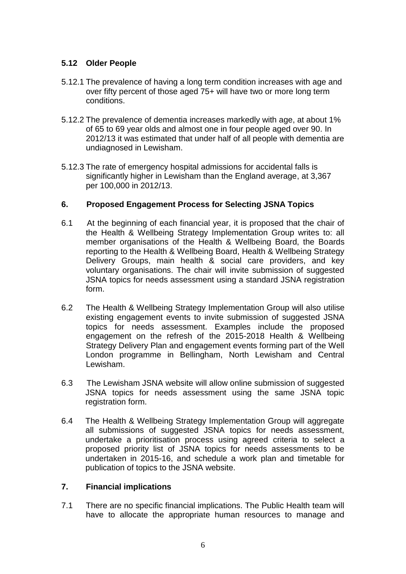### **5.12 Older People**

- 5.12.1 The prevalence of having a long term condition increases with age and over fifty percent of those aged 75+ will have two or more long term conditions.
- 5.12.2 The prevalence of dementia increases markedly with age, at about 1% of 65 to 69 year olds and almost one in four people aged over 90. In 2012/13 it was estimated that under half of all people with dementia are undiagnosed in Lewisham.
- 5.12.3 The rate of emergency hospital admissions for accidental falls is significantly higher in Lewisham than the England average, at 3,367 per 100,000 in 2012/13.

### **6. Proposed Engagement Process for Selecting JSNA Topics**

- 6.1 At the beginning of each financial year, it is proposed that the chair of the Health & Wellbeing Strategy Implementation Group writes to: all member organisations of the Health & Wellbeing Board, the Boards reporting to the Health & Wellbeing Board, Health & Wellbeing Strategy Delivery Groups, main health & social care providers, and key voluntary organisations. The chair will invite submission of suggested JSNA topics for needs assessment using a standard JSNA registration form.
- 6.2 The Health & Wellbeing Strategy Implementation Group will also utilise existing engagement events to invite submission of suggested JSNA topics for needs assessment. Examples include the proposed engagement on the refresh of the 2015-2018 Health & Wellbeing Strategy Delivery Plan and engagement events forming part of the Well London programme in Bellingham, North Lewisham and Central Lewisham.
- 6.3 The Lewisham JSNA website will allow online submission of suggested JSNA topics for needs assessment using the same JSNA topic registration form.
- 6.4 The Health & Wellbeing Strategy Implementation Group will aggregate all submissions of suggested JSNA topics for needs assessment, undertake a prioritisation process using agreed criteria to select a proposed priority list of JSNA topics for needs assessments to be undertaken in 2015-16, and schedule a work plan and timetable for publication of topics to the JSNA website.

### **7. Financial implications**

7.1 There are no specific financial implications. The Public Health team will have to allocate the appropriate human resources to manage and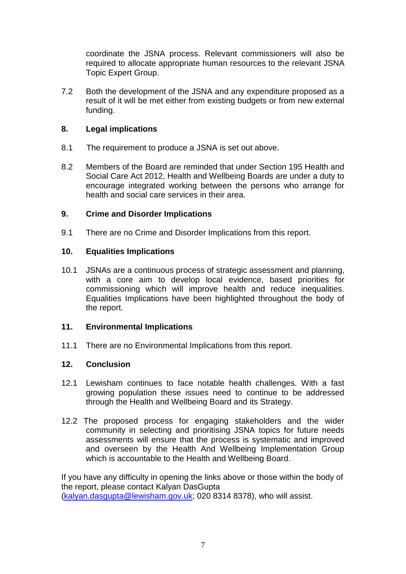coordinate the JSNA process. Relevant commissioners will also be required to allocate appropriate human resources to the relevant JSNA Topic Expert Group.

7.2 Both the development of the JSNA and any expenditure proposed as a result of it will be met either from existing budgets or from new external funding.

### **8. Legal implications**

- 8.1 The requirement to produce a JSNA is set out above.
- 8.2 Members of the Board are reminded that under Section 195 Health and Social Care Act 2012, Health and Wellbeing Boards are under a duty to encourage integrated working between the persons who arrange for health and social care services in their area.

### **9. Crime and Disorder Implications**

9.1 There are no Crime and Disorder Implications from this report.

# **10. Equalities Implications**

10.1 JSNAs are a continuous process of strategic assessment and planning, with a core aim to develop local evidence, based priorities for commissioning which will improve health and reduce inequalities. Equalities Implications have been highlighted throughout the body of the report.

### **11. Environmental Implications**

11.1 There are no Environmental Implications from this report.

### **12. Conclusion**

- 12.1 Lewisham continues to face notable health challenges. With a fast growing population these issues need to continue to be addressed through the Health and Wellbeing Board and its Strategy.
- 12.2 The proposed process for engaging stakeholders and the wider community in selecting and prioritising JSNA topics for future needs assessments will ensure that the process is systematic and improved and overseen by the Health And Wellbeing Implementation Group which is accountable to the Health and Wellbeing Board.

If you have any difficulty in opening the links above or those within the body of the report, please contact Kalyan DasGupta [\(kalyan.dasgupta@lewisham.gov.uk;](mailto:kalyan.dasgupta@lewisham.gov.uk) 020 8314 8378), who will assist.